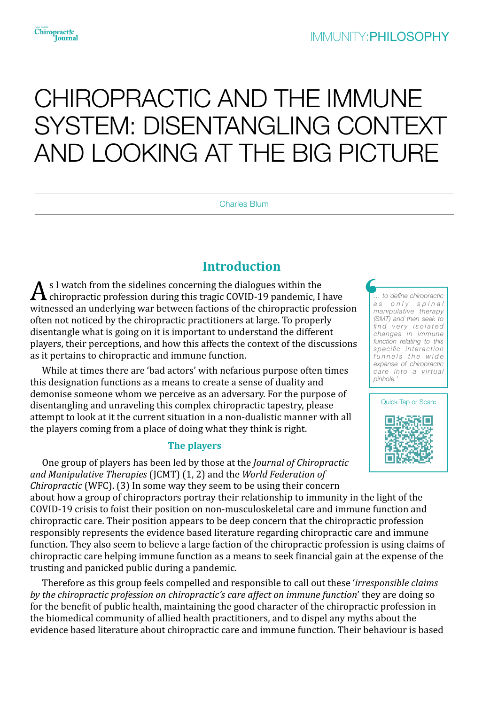# CHIROPRACTIC AND THE IMMUNE SYSTEM: DISENTANGLING CONTEXT AND LOOKING AT THE BIG PICTURE

Charles Blum

# **Introduction**

 $A$ <sup>s</sup> I watch from the sidelines concerning the dialogues within the chiropractic profession during this tragic COVID-19 pandemic, I have witnessed an underlying war between factions of the chiropractic profession often not noticed by the chiropractic practitioners at large. To properly disentangle what is going on it is important to understand the different players, their perceptions, and how this affects the context of the discussions as it pertains to chiropractic and immune function.

While at times there are 'bad actors' with nefarious purpose often times this designation functions as a means to create a sense of duality and demonise someone whom we perceive as an adversary. For the purpose of disentangling and unraveling this complex chiropractic tapestry, please attempt to look at it the current situation in a non-dualistic manner with all the players coming from a place of doing what they think is right.

#### **The players**

One group of players has been led by those at the *Journal of Chiropractic* and Manipulative Therapies (JCMT) (1, 2) and the *World Federation of Chiropractic* (WFC). (3) In some way they seem to be using their concern about how a group of chiropractors portray their relationship to immunity in the light of the COVID-19 crisis to foist their position on non-musculoskeletal care and immune function and chiropractic care. Their position appears to be deep concern that the chiropractic profession responsibly represents the evidence based literature regarding chiropractic care and immune function. They also seem to believe a large faction of the chiropractic profession is using claims of chiropractic care helping immune function as a means to seek financial gain at the expense of the trusting and panicked public during a pandemic.

Therefore as this group feels compelled and responsible to call out these *'irresponsible claims by* the chiropractic profession on chiropractic's care affect on immune function' they are doing so for the benefit of public health, maintaining the good character of the chiropractic profession in the biomedical community of allied health practitioners, and to dispel any myths about the evidence based literature about chiropractic care and immune function. Their behaviour is based

*… to define chiropractic*  as only spinal *manipulative therapy (SMT) and then seek to*   $find$  very isolated *changes in immune function relating to this specific interaction*  funnels the wide *expanse of chiropractic care into a virtual pinhole.'* 

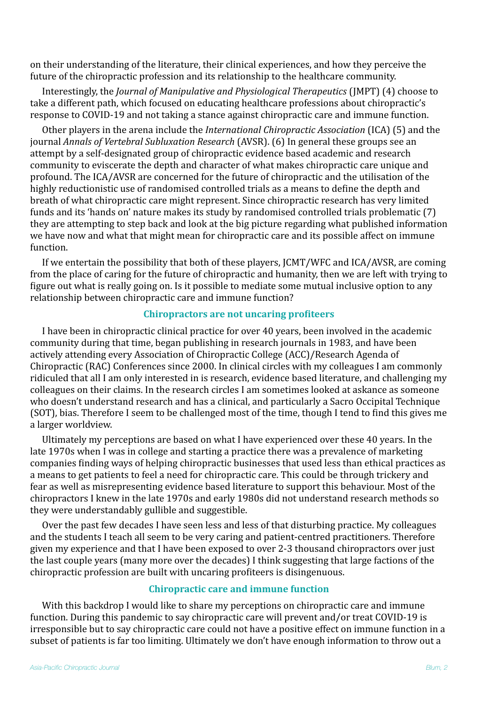on their understanding of the literature, their clinical experiences, and how they perceive the future of the chiropractic profession and its relationship to the healthcare community.

Interestingly, the *Journal of Manipulative and Physiological Therapeutics* (JMPT) (4) choose to take a different path, which focused on educating healthcare professions about chiropractic's response to COVID-19 and not taking a stance against chiropractic care and immune function.

Other players in the arena include the *International Chiropractic Association* (ICA) (5) and the journal *Annals of Vertebral Subluxation Research* (AVSR). (6) In general these groups see an attempt by a self-designated group of chiropractic evidence based academic and research community to eviscerate the depth and character of what makes chiropractic care unique and profound. The ICA/AVSR are concerned for the future of chiropractic and the utilisation of the highly reductionistic use of randomised controlled trials as a means to define the depth and breath of what chiropractic care might represent. Since chiropractic research has very limited funds and its 'hands on' nature makes its study by randomised controlled trials problematic (7) they are attempting to step back and look at the big picture regarding what published information we have now and what that might mean for chiropractic care and its possible affect on immune function. 

If we entertain the possibility that both of these players, JCMT/WFC and ICA/AVSR, are coming from the place of caring for the future of chiropractic and humanity, then we are left with trying to figure out what is really going on. Is it possible to mediate some mutual inclusive option to any relationship between chiropractic care and immune function?

## **Chiropractors are not uncaring profiteers**

I have been in chiropractic clinical practice for over 40 years, been involved in the academic community during that time, began publishing in research journals in 1983, and have been actively attending every Association of Chiropractic College (ACC)/Research Agenda of Chiropractic (RAC) Conferences since 2000. In clinical circles with my colleagues I am commonly ridiculed that all I am only interested in is research, evidence based literature, and challenging my colleagues on their claims. In the research circles I am sometimes looked at askance as someone who doesn't understand research and has a clinical, and particularly a Sacro Occipital Technique (SOT), bias. Therefore I seem to be challenged most of the time, though I tend to find this gives me a larger worldview.

Ultimately my perceptions are based on what I have experienced over these 40 years. In the late 1970s when I was in college and starting a practice there was a prevalence of marketing companies finding ways of helping chiropractic businesses that used less than ethical practices as a means to get patients to feel a need for chiropractic care. This could be through trickery and fear as well as misrepresenting evidence based literature to support this behaviour. Most of the chiropractors I knew in the late 1970s and early 1980s did not understand research methods so they were understandably gullible and suggestible.

Over the past few decades I have seen less and less of that disturbing practice. My colleagues and the students I teach all seem to be very caring and patient-centred practitioners. Therefore given my experience and that I have been exposed to over 2-3 thousand chiropractors over just the last couple years (many more over the decades) I think suggesting that large factions of the chiropractic profession are built with uncaring profiteers is disingenuous.

# **Chiropractic care and immune function**

With this backdrop I would like to share my perceptions on chiropractic care and immune function. During this pandemic to say chiropractic care will prevent and/or treat COVID-19 is irresponsible but to say chiropractic care could not have a positive effect on immune function in a subset of patients is far too limiting. Ultimately we don't have enough information to throw out a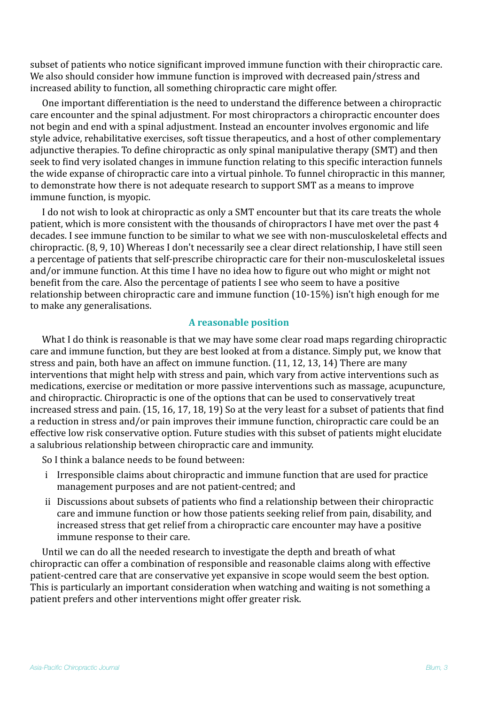subset of patients who notice significant improved immune function with their chiropractic care. We also should consider how immune function is improved with decreased pain/stress and increased ability to function, all something chiropractic care might offer.

One important differentiation is the need to understand the difference between a chiropractic care encounter and the spinal adjustment. For most chiropractors a chiropractic encounter does not begin and end with a spinal adjustment. Instead an encounter involves ergonomic and life style advice, rehabilitative exercises, soft tissue therapeutics, and a host of other complementary adjunctive therapies. To define chiropractic as only spinal manipulative therapy (SMT) and then seek to find very isolated changes in immune function relating to this specific interaction funnels the wide expanse of chiropractic care into a virtual pinhole. To funnel chiropractic in this manner, to demonstrate how there is not adequate research to support SMT as a means to improve immune function, is myopic.

I do not wish to look at chiropractic as only a SMT encounter but that its care treats the whole patient, which is more consistent with the thousands of chiropractors I have met over the past 4 decades. I see immune function to be similar to what we see with non-musculoskeletal effects and chiropractic. (8, 9, 10) Whereas I don't necessarily see a clear direct relationship, I have still seen a percentage of patients that self-prescribe chiropractic care for their non-musculoskeletal issues and/or immune function. At this time I have no idea how to figure out who might or might not benefit from the care. Also the percentage of patients I see who seem to have a positive relationship between chiropractic care and immune function  $(10-15%)$  isn't high enough for me to make any generalisations.

## **A** reasonable position

What I do think is reasonable is that we may have some clear road maps regarding chiropractic care and immune function, but they are best looked at from a distance. Simply put, we know that stress and pain, both have an affect on immune function. (11, 12, 13, 14) There are many interventions that might help with stress and pain, which vary from active interventions such as medications, exercise or meditation or more passive interventions such as massage, acupuncture, and chiropractic. Chiropractic is one of the options that can be used to conservatively treat increased stress and pain.  $(15, 16, 17, 18, 19)$  So at the very least for a subset of patients that find a reduction in stress and/or pain improves their immune function, chiropractic care could be an effective low risk conservative option. Future studies with this subset of patients might elucidate a salubrious relationship between chiropractic care and immunity.

So I think a balance needs to be found between:

- i Irresponsible claims about chiropractic and immune function that are used for practice management purposes and are not patient-centred; and
- ii Discussions about subsets of patients who find a relationship between their chiropractic care and immune function or how those patients seeking relief from pain, disability, and increased stress that get relief from a chiropractic care encounter may have a positive immune response to their care.

Until we can do all the needed research to investigate the depth and breath of what chiropractic can offer a combination of responsible and reasonable claims along with effective patient-centred care that are conservative vet expansive in scope would seem the best option. This is particularly an important consideration when watching and waiting is not something a patient prefers and other interventions might offer greater risk.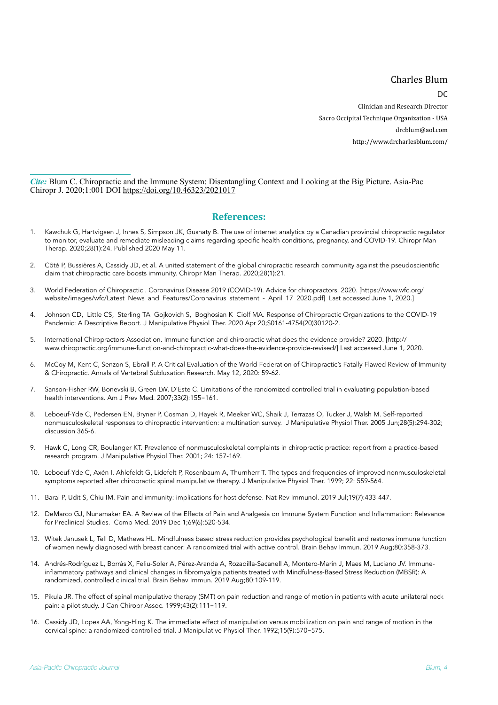#### Charles Blum

 $D^{\prime}$ 

Clinician and Research Director Sacro Occipital Technique Organization - USA [drcblum@aol.com](mailto:drcblum@aol.com) <http://www.drcharlesblum.com/> 

*Cite:* Blum C. Chiropractic and the Immune System: Disentangling Context and Looking at the Big Picture. Asia-Pac Chiropr J. 2020;1:001 DOI <https://doi.org/10.46323/2021017>

#### **References:**

- 1. Kawchuk G, Hartvigsen J, Innes S, Simpson JK, Gushaty B. The use of internet analytics by a Canadian provincial chiropractic regulator to monitor, evaluate and remediate misleading claims regarding specific health conditions, pregnancy, and COVID-19. Chiropr Man Therap. 2020;28(1):24. Published 2020 May 11.
- 2. Côté P, Bussières A, Cassidy JD, et al. A united statement of the global chiropractic research community against the pseudoscientific claim that chiropractic care boosts immunity. Chiropr Man Therap. 2020;28(1):21.
- 3. World Federation of Chiropractic . Coronavirus Disease 2019 (COVID-19). Advice for chiropractors. 2020. [https://www.wfc.org/ website/images/wfc/Latest\_News\_and\_Features/Coronavirus\_statement\_-\_April\_17\_2020.pdf] Last accessed June 1, 2020.]
- 4. Johnson CD, Little CS, Sterling TA Gojkovich S, Boghosian K Ciolf MA. Response of Chiropractic Organizations to the COVID-19 Pandemic: A Descriptive Report. J Manipulative Physiol Ther. 2020 Apr 20;S0161-4754(20)30120-2.
- 5. International Chiropractors Association. Immune function and chiropractic what does the evidence provide? 2020. [http:// www.chiropractic.org/immune-function-and-chiropractic-what-does-the-evidence-provide-revised/] Last accessed June 1, 2020.
- 6. McCoy M, Kent C, Senzon S, Ebrall P. A Critical Evaluation of the World Federation of Chiropractic's Fatally Flawed Review of Immunity & Chiropractic. Annals of Vertebral Subluxation Research. May 12, 2020: 59-62.
- 7. Sanson-Fisher RW, Bonevski B, Green LW, D'Este C. Limitations of the randomized controlled trial in evaluating population-based health interventions. Am J Prev Med. 2007;33(2):155-161.
- 8. Leboeuf-Yde C, Pedersen EN, Bryner P, Cosman D, Hayek R, Meeker WC, Shaik J, Terrazas O, Tucker J, Walsh M. Self-reported nonmusculoskeletal responses to chiropractic intervention: a multination survey. J Manipulative Physiol Ther. 2005 Jun;28(5):294-302; discussion 365-6.
- 9. Hawk C, Long CR, Boulanger KT. Prevalence of nonmusculoskeletal complaints in chiropractic practice: report from a practice-based research program. J Manipulative Physiol Ther. 2001; 24: 157-169.
- 10. Leboeuf-Yde C, Axén I, Ahlefeldt G, Lidefelt P, Rosenbaum A, Thurnherr T. The types and frequencies of improved nonmusculoskeletal symptoms reported after chiropractic spinal manipulative therapy. J Manipulative Physiol Ther. 1999; 22: 559-564.
- 11. Baral P, Udit S, Chiu IM. Pain and immunity: implications for host defense. Nat Rev Immunol. 2019 Jul;19(7):433-447.
- 12. DeMarco GJ, Nunamaker EA. A Review of the Effects of Pain and Analgesia on Immune System Function and Inflammation: Relevance for Preclinical Studies. Comp Med. 2019 Dec 1;69(6):520-534.
- 13. Witek Janusek L, Tell D, Mathews HL. Mindfulness based stress reduction provides psychological benefit and restores immune function of women newly diagnosed with breast cancer: A randomized trial with active control. Brain Behav Immun. 2019 Aug;80:358-373.
- 14. Andrés-Rodríguez L, Borràs X, Feliu-Soler A, Pérez-Aranda A, Rozadilla-Sacanell A, Montero-Marin J, Maes M, Luciano JV. Immuneinflammatory pathways and clinical changes in fibromyalgia patients treated with Mindfulness-Based Stress Reduction (MBSR): A randomized, controlled clinical trial. Brain Behav Immun. 2019 Aug;80:109-119.
- 15. Pikula JR. The effect of spinal manipulative therapy (SMT) on pain reduction and range of motion in patients with acute unilateral neck pain: a pilot study. J Can Chiropr Assoc. 1999;43(2):111-119.
- 16. Cassidy JD, Lopes AA, Yong-Hing K. The immediate effect of manipulation versus mobilization on pain and range of motion in the cervical spine: a randomized controlled trial. J Manipulative Physiol Ther. 1992;15(9):570-575.